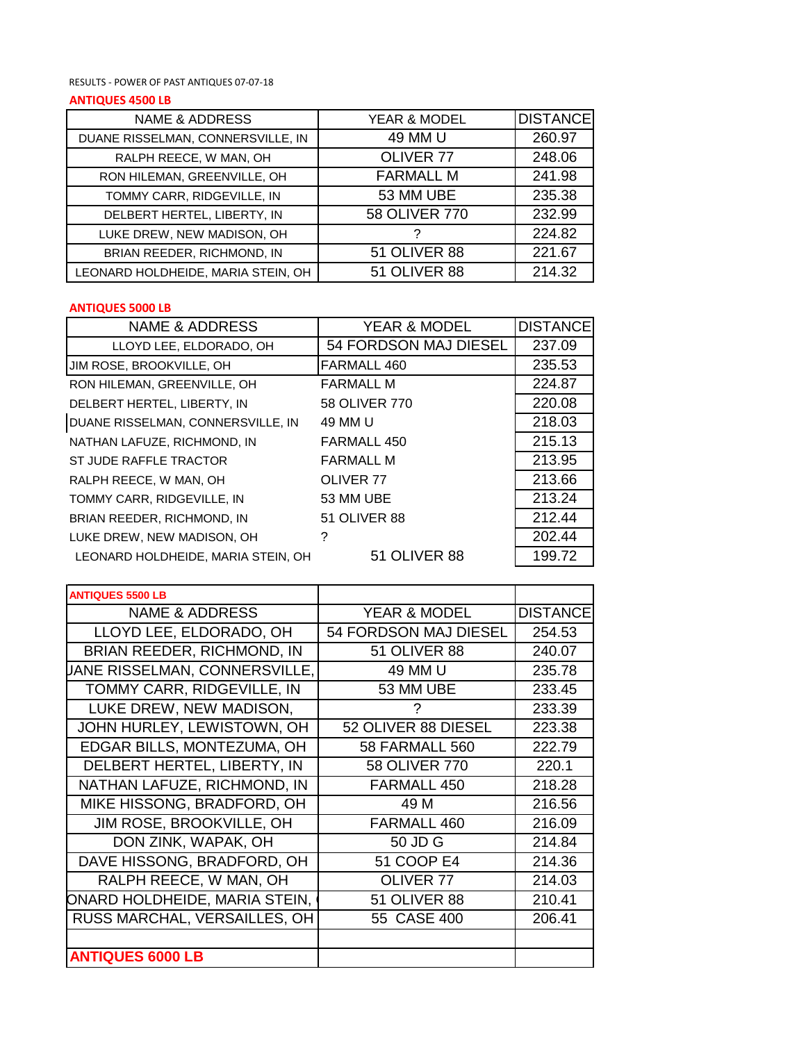RESULTS - POWER OF PAST ANTIQUES 07-07-18

## **ANTIQUES 4500 LB**

| <b>NAME &amp; ADDRESS</b>          | YEAR & MODEL         | <b>DISTANCE</b> |
|------------------------------------|----------------------|-----------------|
| DUANE RISSELMAN, CONNERSVILLE, IN  | 49 MM U              | 260.97          |
| RALPH REECE, W MAN, OH             | OLIVER <sub>77</sub> | 248.06          |
| RON HILEMAN, GREENVILLE, OH        | <b>FARMALL M</b>     | 241.98          |
| TOMMY CARR, RIDGEVILLE, IN         | 53 MM UBE            | 235.38          |
| DELBERT HERTEL, LIBERTY, IN        | 58 OLIVER 770        | 232.99          |
| LUKE DREW, NEW MADISON, OH         |                      | 224.82          |
| BRIAN REEDER, RICHMOND, IN         | 51 OLIVER 88         | 221.67          |
| LEONARD HOLDHEIDE, MARIA STEIN, OH | 51 OLIVER 88         | 214.32          |

## **ANTIQUES 5000 LB**

| <b>NAME &amp; ADDRESS</b>          | <b>YEAR &amp; MODEL</b> | <b>DISTANCE</b> |
|------------------------------------|-------------------------|-----------------|
| LLOYD LEE, ELDORADO, OH            | 54 FORDSON MAJ DIESEL   | 237.09          |
| JIM ROSE, BROOKVILLE, OH           | FARMALL 460             | 235.53          |
| RON HILEMAN, GREENVILLE, OH        | <b>FARMALL M</b>        | 224.87          |
| DELBERT HERTEL, LIBERTY, IN        | 58 OLIVER 770           | 220.08          |
| DUANE RISSELMAN, CONNERSVILLE, IN  | 49 MM U                 | 218.03          |
| NATHAN LAFUZE, RICHMOND, IN        | FARMALL 450             | 215.13          |
| ST JUDE RAFFLE TRACTOR             | <b>FARMALL M</b>        | 213.95          |
| RALPH REECE, W MAN, OH             | OLIVER <sub>77</sub>    | 213.66          |
| TOMMY CARR, RIDGEVILLE, IN         | 53 MM UBE               | 213.24          |
| BRIAN REEDER, RICHMOND, IN         | 51 OLIVER 88            | 212.44          |
| LUKE DREW, NEW MADISON, OH         | ?                       | 202.44          |
| LEONARD HOLDHEIDE, MARIA STEIN, OH | 51 OLIVER 88            | 199.72          |
|                                    |                         |                 |

| <b>ANTIQUES 5500 LB</b>       |                         |                 |
|-------------------------------|-------------------------|-----------------|
| NAME & ADDRESS                | <b>YEAR &amp; MODEL</b> | <b>DISTANCE</b> |
| LLOYD LEE, ELDORADO, OH       | 54 FORDSON MAJ DIESEL   | 254.53          |
| BRIAN REEDER, RICHMOND, IN    | 51 OLIVER 88            | 240.07          |
| JANE RISSELMAN, CONNERSVILLE, | 49 MM U                 | 235.78          |
| TOMMY CARR, RIDGEVILLE, IN    | 53 MM UBE               | 233.45          |
| LUKE DREW, NEW MADISON.       | ?                       | 233.39          |
| JOHN HURLEY, LEWISTOWN, OH    | 52 OLIVER 88 DIESEL     | 223.38          |
| EDGAR BILLS, MONTEZUMA, OH    | <b>58 FARMALL 560</b>   | 222.79          |
| DELBERT HERTEL, LIBERTY, IN   | 58 OLIVER 770           | 220.1           |
| NATHAN LAFUZE, RICHMOND, IN   | FARMALL 450             | 218.28          |
| MIKE HISSONG, BRADFORD, OH    | 49 M                    | 216.56          |
| JIM ROSE, BROOKVILLE, OH      | FARMALL 460             | 216.09          |
| DON ZINK, WAPAK, OH           | 50 JD G                 | 214.84          |
| DAVE HISSONG, BRADFORD, OH    | 51 COOP E4              | 214.36          |
| RALPH REECE, W MAN, OH        | <b>OLIVER 77</b>        | 214.03          |
| ONARD HOLDHEIDE, MARIA STEIN, | <b>51 OLIVER 88</b>     | 210.41          |
| RUSS MARCHAL, VERSAILLES, OH  | 55 CASE 400             | 206.41          |
|                               |                         |                 |
| <b>ANTIQUES 6000 LB</b>       |                         |                 |